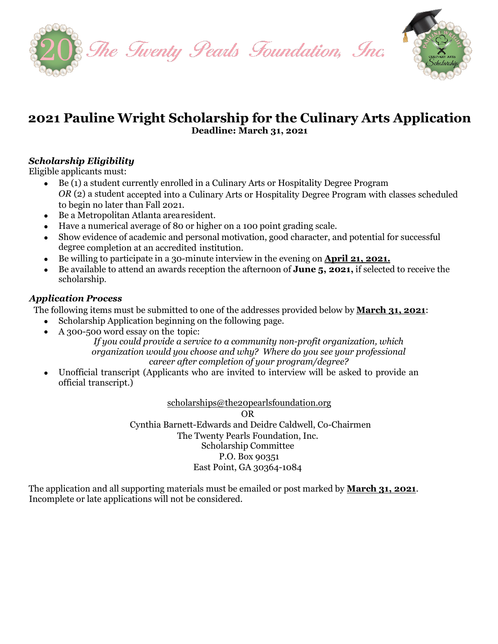



## **2021 Pauline Wright Scholarship for the Culinary Arts Application Deadline: March 31, 2021**

#### *Scholarship Eligibility*

Eligible applicants must:

- Be (1) a student currently enrolled in a Culinary Arts or Hospitality Degree Program *OR* (2) a student accepted into a Culinary Arts or Hospitality Degree Program with classes scheduled to begin no later than Fall 2021.
- Be a Metropolitan Atlanta arearesident.
- Have a numerical average of 80 or higher on a 100 point grading scale.
- Show evidence of academic and personal motivation, good character, and potential for successful degree completion at an accredited institution.
- Be willing to participate in a 30-minute interview in the evening on **April 21, 2021.**
- Be available to attend an awards reception the afternoon of **June 5, 2021,** if selected to receive the scholarship.

#### *Application Process*

The following items must be submitted to one of the addresses provided below by **March 31, 2021**:

- Scholarship Application beginning on the following page.
- A 300-500 word essay on the topic:

*If you could provide a service to a community non-profit organization, which organization would you choose and why? Where do you see your professional career after completion of your program/degree?*

• Unofficial transcript (Applicants who are invited to interview will be asked to provide an official transcript.)

> [scholarships@the20pearlsfoundation.org](mailto:scholarships@the20pearlsfoundation.org) OR Cynthia Barnett-Edwards and Deidre Caldwell, Co-Chairmen The Twenty Pearls Foundation, Inc. Scholarship Committee

#### P.O. Box 90351 East Point, GA 30364-1084

The application and all supporting materials must be emailed or post marked by **March 31, 2021**. Incomplete or late applications will not be considered.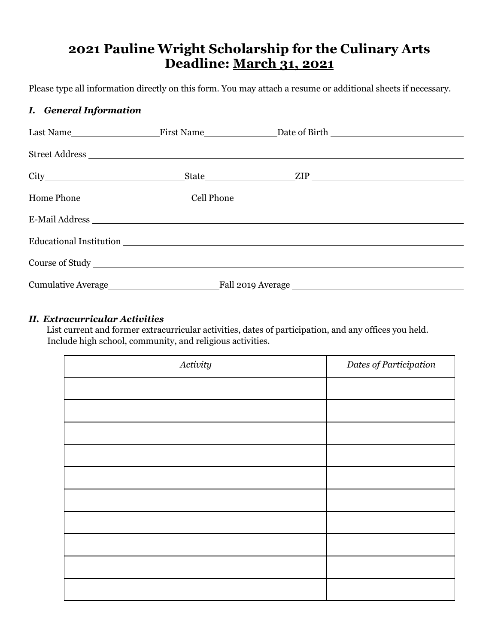# **2021 Pauline Wright Scholarship for the Culinary Arts Deadline: March 31, 2021**

Please type all information directly on this form. You may attach a resume or additional sheets if necessary.

#### *I. General Information*

|  | Home Phone__________________________Cell Phone __________________________________                                                                                                                                              |
|--|--------------------------------------------------------------------------------------------------------------------------------------------------------------------------------------------------------------------------------|
|  | E-Mail Address                                                                                                                                                                                                                 |
|  |                                                                                                                                                                                                                                |
|  |                                                                                                                                                                                                                                |
|  |                                                                                                                                                                                                                                |
|  | Course of Study New York Course of Study New York Course of Study New York Course of Study New York Course of Study New York Course of Study New York Course of Study New York Course of Study New York Course of Study New Yo |

#### *II. Extracurricular Activities*

List current and former extracurricular activities, dates of participation, and any offices you held. Include high school, community, and religious activities.

| Activity | Dates of Participation |
|----------|------------------------|
|          |                        |
|          |                        |
|          |                        |
|          |                        |
|          |                        |
|          |                        |
|          |                        |
|          |                        |
|          |                        |
|          |                        |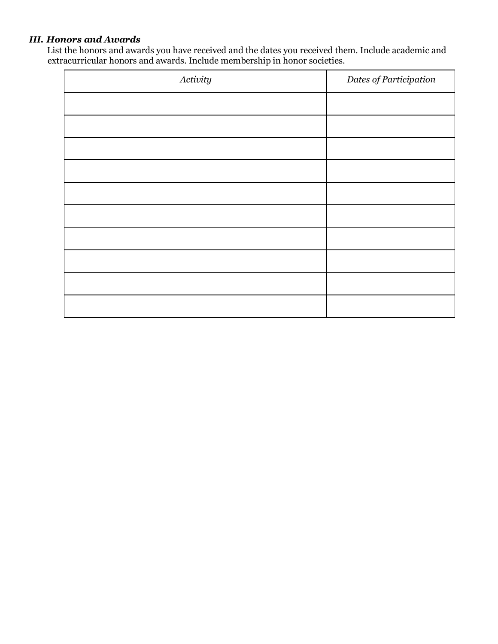### *III. Honors and Awards*

List the honors and awards you have received and the dates you received them. Include academic and extracurricular honors and awards. Include membership in honor societies.

| Activity | Dates of Participation |
|----------|------------------------|
|          |                        |
|          |                        |
|          |                        |
|          |                        |
|          |                        |
|          |                        |
|          |                        |
|          |                        |
|          |                        |
|          |                        |